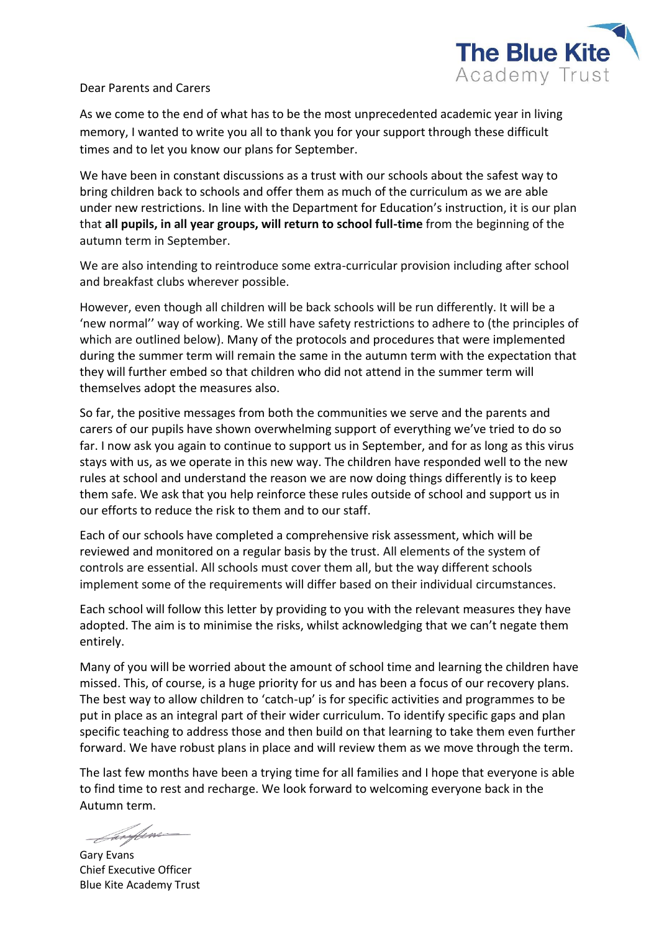

## Dear Parents and Carers

As we come to the end of what has to be the most unprecedented academic year in living memory, I wanted to write you all to thank you for your support through these difficult times and to let you know our plans for September.

We have been in constant discussions as a trust with our schools about the safest way to bring children back to schools and offer them as much of the curriculum as we are able under new restrictions. In line with the Department for Education's instruction, it is our plan that **all pupils, in all year groups, will return to school full-time** from the beginning of the autumn term in September.

We are also intending to reintroduce some extra-curricular provision including after school and breakfast clubs wherever possible.

However, even though all children will be back schools will be run differently. It will be a 'new normal'' way of working. We still have safety restrictions to adhere to (the principles of which are outlined below). Many of the protocols and procedures that were implemented during the summer term will remain the same in the autumn term with the expectation that they will further embed so that children who did not attend in the summer term will themselves adopt the measures also.

So far, the positive messages from both the communities we serve and the parents and carers of our pupils have shown overwhelming support of everything we've tried to do so far. I now ask you again to continue to support us in September, and for as long as this virus stays with us, as we operate in this new way. The children have responded well to the new rules at school and understand the reason we are now doing things differently is to keep them safe. We ask that you help reinforce these rules outside of school and support us in our efforts to reduce the risk to them and to our staff.

Each of our schools have completed a comprehensive risk assessment, which will be reviewed and monitored on a regular basis by the trust. All elements of the system of controls are essential. All schools must cover them all, but the way different schools implement some of the requirements will differ based on their individual circumstances.

Each school will follow this letter by providing to you with the relevant measures they have adopted. The aim is to minimise the risks, whilst acknowledging that we can't negate them entirely.

Many of you will be worried about the amount of school time and learning the children have missed. This, of course, is a huge priority for us and has been a focus of our recovery plans. The best way to allow children to 'catch-up' is for specific activities and programmes to be put in place as an integral part of their wider curriculum. To identify specific gaps and plan specific teaching to address those and then build on that learning to take them even further forward. We have robust plans in place and will review them as we move through the term.

The last few months have been a trying time for all families and I hope that everyone is able to find time to rest and recharge. We look forward to welcoming everyone back in the Autumn term.

<u> Innfo</u>ns

Gary Evans Chief Executive Officer Blue Kite Academy Trust